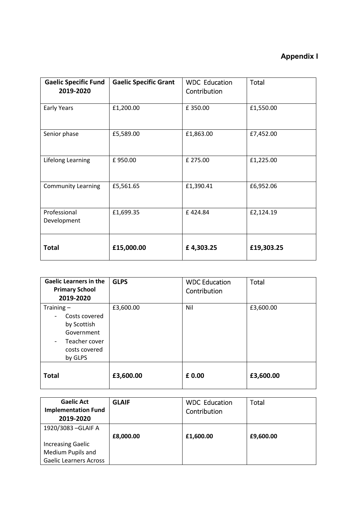## **Appendix I**

| <b>Gaelic Specific Fund</b><br>2019-2020 | <b>Gaelic Specific Grant</b> | <b>WDC Education</b><br>Contribution | Total      |
|------------------------------------------|------------------------------|--------------------------------------|------------|
| Early Years                              | £1,200.00                    | £350.00                              | £1,550.00  |
| Senior phase                             | £5,589.00                    | £1,863.00                            | £7,452.00  |
| Lifelong Learning                        | £950.00                      | £ 275.00                             | £1,225.00  |
| <b>Community Learning</b>                | £5,561.65                    | £1,390.41                            | £6,952.06  |
| Professional<br>Development              | £1,699.35                    | £424.84                              | £2,124.19  |
| <b>Total</b>                             | £15,000.00                   | £4,303.25                            | £19,303.25 |

| <b>Gaelic Learners in the</b><br><b>Primary School</b><br>2019-2020                                                                 | <b>GLPS</b> | <b>WDC Education</b><br>Contribution | Total     |
|-------------------------------------------------------------------------------------------------------------------------------------|-------------|--------------------------------------|-----------|
| Training $-$<br>Costs covered<br>by Scottish<br>Government<br>Teacher cover<br>$\overline{\phantom{a}}$<br>costs covered<br>by GLPS | £3,600.00   | Nil                                  | £3,600.00 |
| <b>Total</b>                                                                                                                        | £3,600.00   | £ 0.00                               | £3,600.00 |

| <b>Gaelic Act</b><br><b>Implementation Fund</b><br>2019-2020 | <b>GLAIF</b> | <b>WDC</b> Education<br>Contribution | Total     |
|--------------------------------------------------------------|--------------|--------------------------------------|-----------|
| 1920/3083 - GLAIF A                                          |              |                                      |           |
|                                                              | £8,000.00    | £1,600.00                            | £9,600.00 |
| <b>Increasing Gaelic</b>                                     |              |                                      |           |
| Medium Pupils and                                            |              |                                      |           |
| <b>Gaelic Learners Across</b>                                |              |                                      |           |